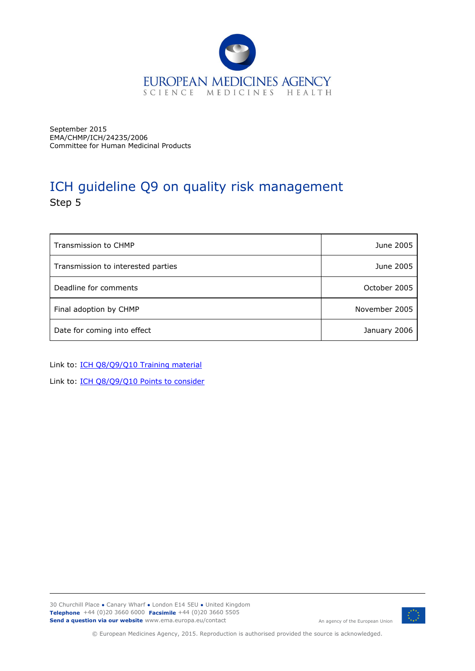

September 2015 EMA/CHMP/ICH/24235/2006 Committee for Human Medicinal Products

# ICH guideline Q9 on quality risk management

Step 5

| Transmission to CHMP               | June 2005     |
|------------------------------------|---------------|
| Transmission to interested parties | June 2005     |
| Deadline for comments              | October 2005  |
| Final adoption by CHMP             | November 2005 |
| Date for coming into effect        | January 2006  |

Link to: [ICH Q8/Q9/Q10 Training material](http://www.ich.org/products/guidelines/quality/training-programme-for-q8q9q10.html)

Link to: **ICH Q8/Q9/Q10 Points to consider** 

30 Churchill Place **●** Canary Wharf **●** London E14 5EU **●** United Kingdom **Telephone** +44 (0)20 3660 6000 **Facsimile** +44 (0)20 3660 5505 **Send a question via our website** www.ema.europa.eu/contact



An agency of the European Union

© European Medicines Agency, 2015. Reproduction is authorised provided the source is acknowledged.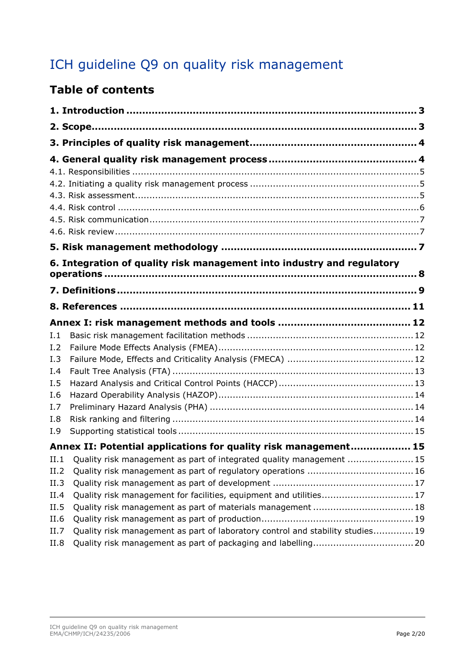# ICH guideline Q9 on quality risk management

# **Table of contents**

|              | 6. Integration of quality risk management into industry and regulatory         |  |
|--------------|--------------------------------------------------------------------------------|--|
|              |                                                                                |  |
|              |                                                                                |  |
|              |                                                                                |  |
|              |                                                                                |  |
| I.1          |                                                                                |  |
| I.2<br>I.3   |                                                                                |  |
| I.4          |                                                                                |  |
| I.5          |                                                                                |  |
| I.6          |                                                                                |  |
| I.7          |                                                                                |  |
| I.8          |                                                                                |  |
| I.9          |                                                                                |  |
|              | Annex II: Potential applications for quality risk management 15                |  |
|              | II.1 Quality risk management as part of integrated quality management 15       |  |
| II.2<br>II.3 | Quality risk management as part of regulatory operations  16                   |  |
| II.4         | Quality risk management for facilities, equipment and utilities17              |  |
| II.5         | Quality risk management as part of materials management  18                    |  |
| II.6         |                                                                                |  |
| II.7         | Quality risk management as part of laboratory control and stability studies 19 |  |
| II.8         |                                                                                |  |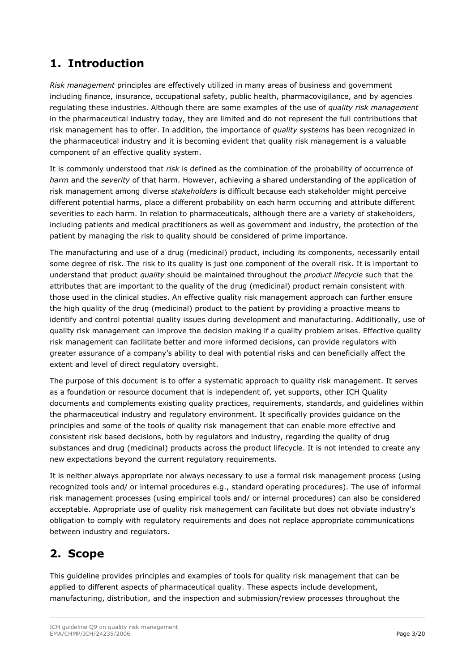# <span id="page-2-0"></span>**1. Introduction**

*Risk management* principles are effectively utilized in many areas of business and government including finance, insurance, occupational safety, public health, pharmacovigilance, and by agencies regulating these industries. Although there are some examples of the use of *quality risk management* in the pharmaceutical industry today, they are limited and do not represent the full contributions that risk management has to offer. In addition, the importance of *quality systems* has been recognized in the pharmaceutical industry and it is becoming evident that quality risk management is a valuable component of an effective quality system.

It is commonly understood that *risk* is defined as the combination of the probability of occurrence of *harm* and the *severity* of that harm. However, achieving a shared understanding of the application of risk management among diverse *stakeholders* is difficult because each stakeholder might perceive different potential harms, place a different probability on each harm occurring and attribute different severities to each harm. In relation to pharmaceuticals, although there are a variety of stakeholders, including patients and medical practitioners as well as government and industry, the protection of the patient by managing the risk to quality should be considered of prime importance.

The manufacturing and use of a drug (medicinal) product, including its components, necessarily entail some degree of risk. The risk to its quality is just one component of the overall risk. It is important to understand that product *quality* should be maintained throughout the *product lifecycle* such that the attributes that are important to the quality of the drug (medicinal) product remain consistent with those used in the clinical studies. An effective quality risk management approach can further ensure the high quality of the drug (medicinal) product to the patient by providing a proactive means to identify and control potential quality issues during development and manufacturing. Additionally, use of quality risk management can improve the decision making if a quality problem arises. Effective quality risk management can facilitate better and more informed decisions, can provide regulators with greater assurance of a company's ability to deal with potential risks and can beneficially affect the extent and level of direct regulatory oversight.

The purpose of this document is to offer a systematic approach to quality risk management. It serves as a foundation or resource document that is independent of, yet supports, other ICH Quality documents and complements existing quality practices, requirements, standards, and guidelines within the pharmaceutical industry and regulatory environment. It specifically provides guidance on the principles and some of the tools of quality risk management that can enable more effective and consistent risk based decisions, both by regulators and industry, regarding the quality of drug substances and drug (medicinal) products across the product lifecycle. It is not intended to create any new expectations beyond the current regulatory requirements.

It is neither always appropriate nor always necessary to use a formal risk management process (using recognized tools and/ or internal procedures e.g., standard operating procedures). The use of informal risk management processes (using empirical tools and/ or internal procedures) can also be considered acceptable. Appropriate use of quality risk management can facilitate but does not obviate industry's obligation to comply with regulatory requirements and does not replace appropriate communications between industry and regulators.

# <span id="page-2-1"></span>**2. Scope**

This guideline provides principles and examples of tools for quality risk management that can be applied to different aspects of pharmaceutical quality. These aspects include development, manufacturing, distribution, and the inspection and submission/review processes throughout the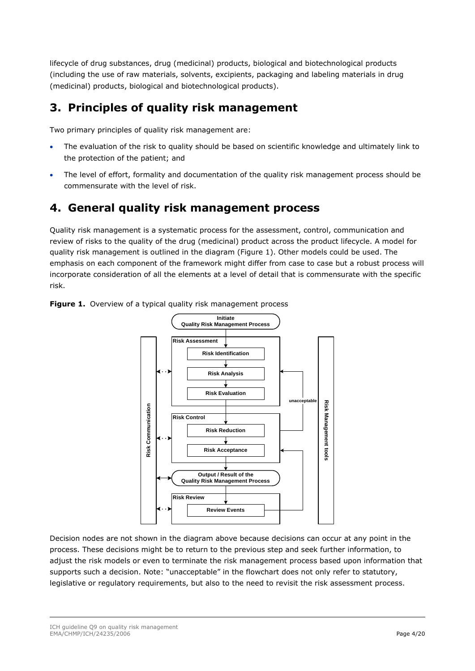lifecycle of drug substances, drug (medicinal) products, biological and biotechnological products (including the use of raw materials, solvents, excipients, packaging and labeling materials in drug (medicinal) products, biological and biotechnological products).

# <span id="page-3-0"></span>**3. Principles of quality risk management**

Two primary principles of quality risk management are:

- The evaluation of the risk to quality should be based on scientific knowledge and ultimately link to the protection of the patient; and
- The level of effort, formality and documentation of the quality risk management process should be commensurate with the level of risk.

# <span id="page-3-1"></span>**4. General quality risk management process**

Quality risk management is a systematic process for the assessment, control, communication and review of risks to the quality of the drug (medicinal) product across the product lifecycle. A model for quality risk management is outlined in the diagram (Figure 1). Other models could be used. The emphasis on each component of the framework might differ from case to case but a robust process will incorporate consideration of all the elements at a level of detail that is commensurate with the specific risk.



**Figure 1.** Overview of a typical quality risk management process

Decision nodes are not shown in the diagram above because decisions can occur at any point in the process. These decisions might be to return to the previous step and seek further information, to adjust the risk models or even to terminate the risk management process based upon information that supports such a decision. Note: "unacceptable" in the flowchart does not only refer to statutory, legislative or regulatory requirements, but also to the need to revisit the risk assessment process.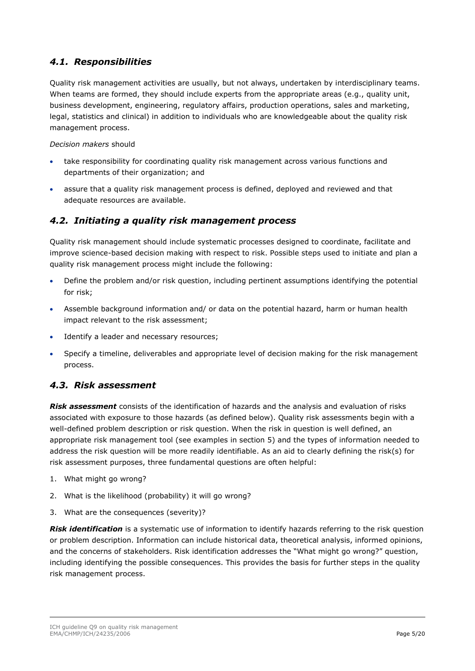### <span id="page-4-0"></span>*4.1. Responsibilities*

Quality risk management activities are usually, but not always, undertaken by interdisciplinary teams. When teams are formed, they should include experts from the appropriate areas (e.g., quality unit, business development, engineering, regulatory affairs, production operations, sales and marketing, legal, statistics and clinical) in addition to individuals who are knowledgeable about the quality risk management process.

*Decision makers* should

- take responsibility for coordinating quality risk management across various functions and departments of their organization; and
- assure that a quality risk management process is defined, deployed and reviewed and that adequate resources are available.

### <span id="page-4-1"></span>*4.2. Initiating a quality risk management process*

Quality risk management should include systematic processes designed to coordinate, facilitate and improve science-based decision making with respect to risk. Possible steps used to initiate and plan a quality risk management process might include the following:

- Define the problem and/or risk question, including pertinent assumptions identifying the potential for risk;
- Assemble background information and/ or data on the potential hazard, harm or human health impact relevant to the risk assessment;
- Identify a leader and necessary resources;
- Specify a timeline, deliverables and appropriate level of decision making for the risk management process.

### <span id="page-4-2"></span>*4.3. Risk assessment*

*Risk assessment* consists of the identification of hazards and the analysis and evaluation of risks associated with exposure to those hazards (as defined below). Quality risk assessments begin with a well-defined problem description or risk question. When the risk in question is well defined, an appropriate risk management tool (see examples in section 5) and the types of information needed to address the risk question will be more readily identifiable. As an aid to clearly defining the risk(s) for risk assessment purposes, three fundamental questions are often helpful:

- 1. What might go wrong?
- 2. What is the likelihood (probability) it will go wrong?
- 3. What are the consequences (severity)?

*Risk identification* is a systematic use of information to identify hazards referring to the risk question or problem description. Information can include historical data, theoretical analysis, informed opinions, and the concerns of stakeholders. Risk identification addresses the "What might go wrong?" question, including identifying the possible consequences. This provides the basis for further steps in the quality risk management process.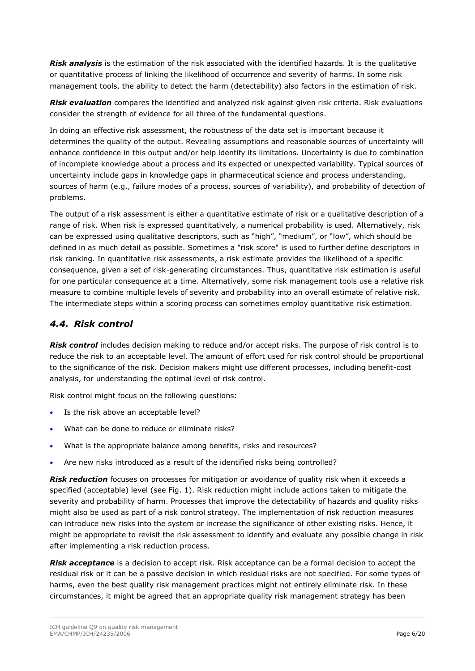*Risk analysis* is the estimation of the risk associated with the identified hazards. It is the qualitative or quantitative process of linking the likelihood of occurrence and severity of harms. In some risk management tools, the ability to detect the harm (detectability) also factors in the estimation of risk.

*Risk evaluation* compares the identified and analyzed risk against given risk criteria. Risk evaluations consider the strength of evidence for all three of the fundamental questions.

In doing an effective risk assessment, the robustness of the data set is important because it determines the quality of the output. Revealing assumptions and reasonable sources of uncertainty will enhance confidence in this output and/or help identify its limitations. Uncertainty is due to combination of incomplete knowledge about a process and its expected or unexpected variability. Typical sources of uncertainty include gaps in knowledge gaps in pharmaceutical science and process understanding, sources of harm (e.g., failure modes of a process, sources of variability), and probability of detection of problems.

The output of a risk assessment is either a quantitative estimate of risk or a qualitative description of a range of risk. When risk is expressed quantitatively, a numerical probability is used. Alternatively, risk can be expressed using qualitative descriptors, such as "high", "medium", or "low", which should be defined in as much detail as possible. Sometimes a "risk score" is used to further define descriptors in risk ranking. In quantitative risk assessments, a risk estimate provides the likelihood of a specific consequence, given a set of risk-generating circumstances. Thus, quantitative risk estimation is useful for one particular consequence at a time. Alternatively, some risk management tools use a relative risk measure to combine multiple levels of severity and probability into an overall estimate of relative risk. The intermediate steps within a scoring process can sometimes employ quantitative risk estimation.

### <span id="page-5-0"></span>*4.4. Risk control*

*Risk control* includes decision making to reduce and/or accept risks. The purpose of risk control is to reduce the risk to an acceptable level. The amount of effort used for risk control should be proportional to the significance of the risk. Decision makers might use different processes, including benefit-cost analysis, for understanding the optimal level of risk control.

Risk control might focus on the following questions:

- Is the risk above an acceptable level?
- What can be done to reduce or eliminate risks?
- What is the appropriate balance among benefits, risks and resources?
- Are new risks introduced as a result of the identified risks being controlled?

*Risk reduction* focuses on processes for mitigation or avoidance of quality risk when it exceeds a specified (acceptable) level (see Fig. 1). Risk reduction might include actions taken to mitigate the severity and probability of harm. Processes that improve the detectability of hazards and quality risks might also be used as part of a risk control strategy. The implementation of risk reduction measures can introduce new risks into the system or increase the significance of other existing risks. Hence, it might be appropriate to revisit the risk assessment to identify and evaluate any possible change in risk after implementing a risk reduction process.

*Risk acceptance* is a decision to accept risk. Risk acceptance can be a formal decision to accept the residual risk or it can be a passive decision in which residual risks are not specified. For some types of harms, even the best quality risk management practices might not entirely eliminate risk. In these circumstances, it might be agreed that an appropriate quality risk management strategy has been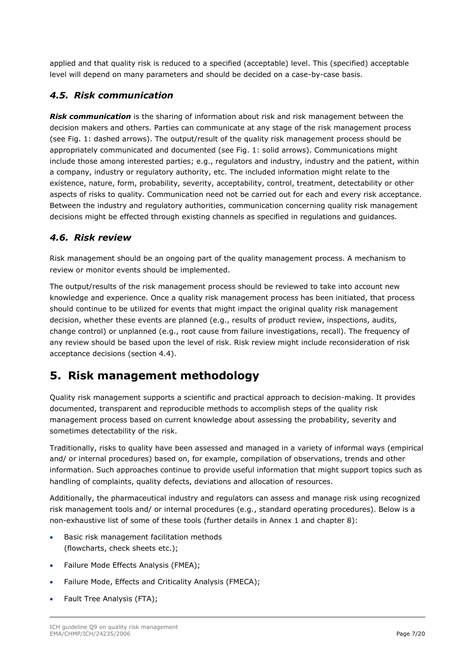applied and that quality risk is reduced to a specified (acceptable) level. This (specified) acceptable level will depend on many parameters and should be decided on a case-by-case basis.

### <span id="page-6-0"></span>*4.5. Risk communication*

*Risk communication* is the sharing of information about risk and risk management between the decision makers and others. Parties can communicate at any stage of the risk management process (see Fig. 1: dashed arrows). The output/result of the quality risk management process should be appropriately communicated and documented (see Fig. 1: solid arrows). Communications might include those among interested parties; e.g., regulators and industry, industry and the patient, within a company, industry or regulatory authority, etc. The included information might relate to the existence, nature, form, probability, severity, acceptability, control, treatment, detectability or other aspects of risks to quality. Communication need not be carried out for each and every risk acceptance. Between the industry and regulatory authorities, communication concerning quality risk management decisions might be effected through existing channels as specified in regulations and guidances.

### <span id="page-6-1"></span>*4.6. Risk review*

Risk management should be an ongoing part of the quality management process. A mechanism to review or monitor events should be implemented.

The output/results of the risk management process should be reviewed to take into account new knowledge and experience. Once a quality risk management process has been initiated, that process should continue to be utilized for events that might impact the original quality risk management decision, whether these events are planned (e.g., results of product review, inspections, audits, change control) or unplanned (e.g., root cause from failure investigations, recall). The frequency of any review should be based upon the level of risk. Risk review might include reconsideration of risk acceptance decisions (section 4.4).

## <span id="page-6-2"></span>**5. Risk management methodology**

Quality risk management supports a scientific and practical approach to decision-making. It provides documented, transparent and reproducible methods to accomplish steps of the quality risk management process based on current knowledge about assessing the probability, severity and sometimes detectability of the risk.

Traditionally, risks to quality have been assessed and managed in a variety of informal ways (empirical and/ or internal procedures) based on, for example, compilation of observations, trends and other information. Such approaches continue to provide useful information that might support topics such as handling of complaints, quality defects, deviations and allocation of resources.

Additionally, the pharmaceutical industry and regulators can assess and manage risk using recognized risk management tools and/ or internal procedures (e.g., standard operating procedures). Below is a non-exhaustive list of some of these tools (further details in Annex 1 and chapter 8):

- Basic risk management facilitation methods (flowcharts, check sheets etc.);
- Failure Mode Effects Analysis (FMEA);
- Failure Mode, Effects and Criticality Analysis (FMECA);
- Fault Tree Analysis (FTA);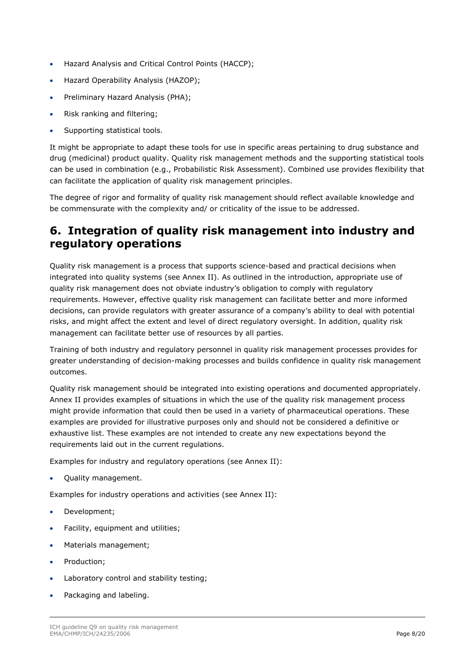- Hazard Analysis and Critical Control Points (HACCP);
- Hazard Operability Analysis (HAZOP);
- Preliminary Hazard Analysis (PHA);
- Risk ranking and filtering;
- Supporting statistical tools.

It might be appropriate to adapt these tools for use in specific areas pertaining to drug substance and drug (medicinal) product quality. Quality risk management methods and the supporting statistical tools can be used in combination (e.g., Probabilistic Risk Assessment). Combined use provides flexibility that can facilitate the application of quality risk management principles.

The degree of rigor and formality of quality risk management should reflect available knowledge and be commensurate with the complexity and/ or criticality of the issue to be addressed.

# <span id="page-7-0"></span>**6. Integration of quality risk management into industry and regulatory operations**

Quality risk management is a process that supports science-based and practical decisions when integrated into quality systems (see Annex II). As outlined in the introduction, appropriate use of quality risk management does not obviate industry's obligation to comply with regulatory requirements. However, effective quality risk management can facilitate better and more informed decisions, can provide regulators with greater assurance of a company's ability to deal with potential risks, and might affect the extent and level of direct regulatory oversight. In addition, quality risk management can facilitate better use of resources by all parties.

Training of both industry and regulatory personnel in quality risk management processes provides for greater understanding of decision-making processes and builds confidence in quality risk management outcomes.

Quality risk management should be integrated into existing operations and documented appropriately. Annex II provides examples of situations in which the use of the quality risk management process might provide information that could then be used in a variety of pharmaceutical operations. These examples are provided for illustrative purposes only and should not be considered a definitive or exhaustive list. These examples are not intended to create any new expectations beyond the requirements laid out in the current regulations.

Examples for industry and regulatory operations (see Annex II):

• **Quality management.** 

Examples for industry operations and activities (see Annex II):

- Development;
- Facility, equipment and utilities;
- Materials management;
- Production;
- Laboratory control and stability testing;
- Packaging and labeling.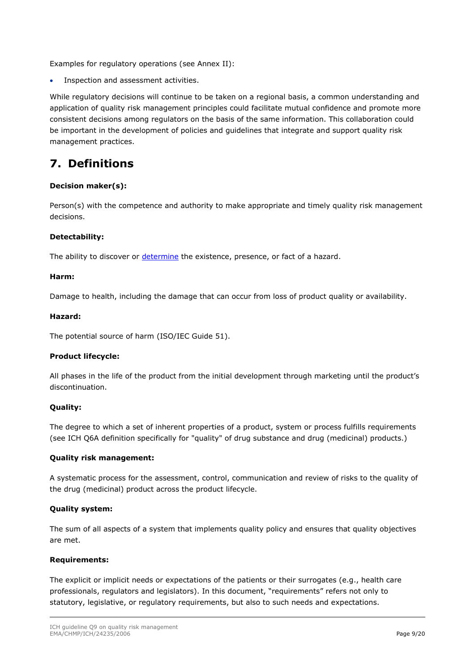Examples for regulatory operations (see Annex II):

Inspection and assessment activities.

While regulatory decisions will continue to be taken on a regional basis, a common understanding and application of quality risk management principles could facilitate mutual confidence and promote more consistent decisions among regulators on the basis of the same information. This collaboration could be important in the development of policies and guidelines that integrate and support quality risk management practices.

# <span id="page-8-0"></span>**7. Definitions**

### **Decision maker(s):**

Person(s) with the competence and authority to make appropriate and timely quality risk management decisions.

### **Detectability:**

The ability to discover or [determine](http://www.webster.com/dictionary/determine) the existence, presence, or fact of a hazard.

### **Harm:**

Damage to health, including the damage that can occur from loss of product quality or availability.

### **Hazard:**

The potential source of harm (ISO/IEC Guide 51).

### **Product lifecycle:**

All phases in the life of the product from the initial development through marketing until the product's discontinuation.

### **Quality:**

The degree to which a set of inherent properties of a product, system or process fulfills requirements (see ICH Q6A definition specifically for "quality" of drug substance and drug (medicinal) products.)

### **Quality risk management:**

A systematic process for the assessment, control, communication and review of risks to the quality of the drug (medicinal) product across the product lifecycle.

### **Quality system:**

The sum of all aspects of a system that implements quality policy and ensures that quality objectives are met.

#### **Requirements:**

The explicit or implicit needs or expectations of the patients or their surrogates (e.g., health care professionals, regulators and legislators). In this document, "requirements" refers not only to statutory, legislative, or regulatory requirements, but also to such needs and expectations.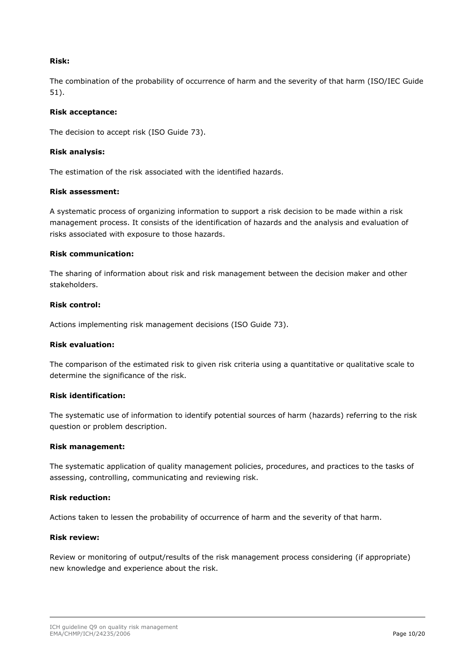### **Risk:**

The combination of the probability of occurrence of harm and the severity of that harm (ISO/IEC Guide 51).

### **Risk acceptance:**

The decision to accept risk (ISO Guide 73).

#### **Risk analysis:**

The estimation of the risk associated with the identified hazards.

#### **Risk assessment:**

A systematic process of organizing information to support a risk decision to be made within a risk management process. It consists of the identification of hazards and the analysis and evaluation of risks associated with exposure to those hazards.

### **Risk communication:**

The sharing of information about risk and risk management between the decision maker and other stakeholders.

### **Risk control:**

Actions implementing risk management decisions (ISO Guide 73).

#### **Risk evaluation:**

The comparison of the estimated risk to given risk criteria using a quantitative or qualitative scale to determine the significance of the risk.

#### **Risk identification:**

The systematic use of information to identify potential sources of harm (hazards) referring to the risk question or problem description.

#### **Risk management:**

The systematic application of quality management policies, procedures, and practices to the tasks of assessing, controlling, communicating and reviewing risk.

#### **Risk reduction:**

Actions taken to lessen the probability of occurrence of harm and the severity of that harm.

### **Risk review:**

Review or monitoring of output/results of the risk management process considering (if appropriate) new knowledge and experience about the risk.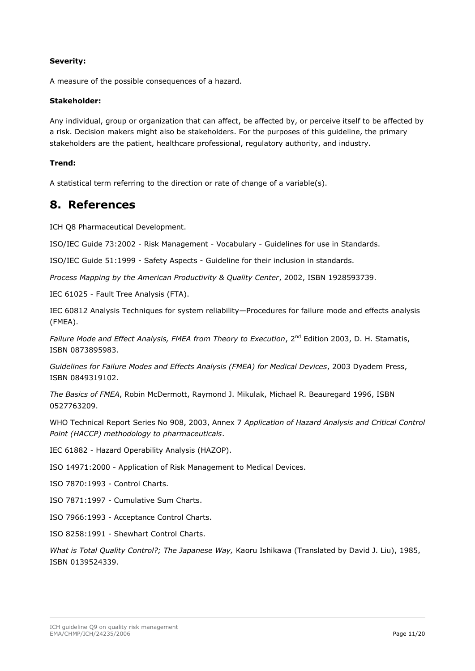### **Severity:**

A measure of the possible consequences of a hazard.

### **Stakeholder:**

Any individual, group or organization that can affect, be affected by, or perceive itself to be affected by a risk. Decision makers might also be stakeholders. For the purposes of this guideline, the primary stakeholders are the patient, healthcare professional, regulatory authority, and industry.

### **Trend:**

A statistical term referring to the direction or rate of change of a variable(s).

### <span id="page-10-0"></span>**8. References**

ICH Q8 Pharmaceutical Development.

ISO/IEC Guide 73:2002 - Risk Management - Vocabulary - Guidelines for use in Standards.

ISO/IEC Guide 51:1999 - Safety Aspects - Guideline for their inclusion in standards.

*Process Mapping by the American Productivity & Quality Center*, 2002, ISBN 1928593739.

IEC 61025 - Fault Tree Analysis (FTA).

IEC 60812 Analysis Techniques for system reliability—Procedures for failure mode and effects analysis (FMEA).

*Failure Mode and Effect Analysis, FMEA from Theory to Execution*, 2nd Edition 2003, D. H. Stamatis, ISBN 0873895983.

*Guidelines for Failure Modes and Effects Analysis (FMEA) for Medical Devices*, 2003 Dyadem Press, ISBN 0849319102.

*The Basics of FMEA*, Robin McDermott, Raymond J. Mikulak, Michael R. Beauregard 1996, ISBN 0527763209.

WHO Technical Report Series No 908, 2003, Annex 7 *Application of Hazard Analysis and Critical Control Point (HACCP) methodology to pharmaceuticals*.

IEC 61882 - Hazard Operability Analysis (HAZOP).

ISO 14971:2000 - Application of Risk Management to Medical Devices.

ISO 7870:1993 - Control Charts.

ISO 7871:1997 - Cumulative Sum Charts.

ISO 7966:1993 - Acceptance Control Charts.

ISO 8258:1991 - Shewhart Control Charts.

*What is Total Quality Control?; The Japanese Way,* Kaoru Ishikawa (Translated by David J. Liu), 1985, ISBN 0139524339.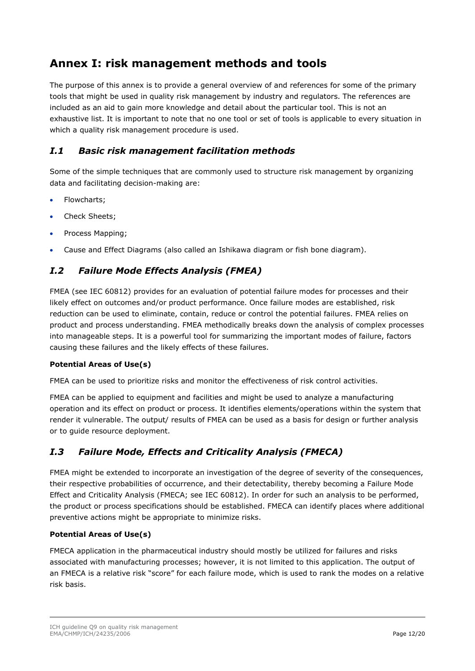# <span id="page-11-0"></span>**Annex I: risk management methods and tools**

The purpose of this annex is to provide a general overview of and references for some of the primary tools that might be used in quality risk management by industry and regulators. The references are included as an aid to gain more knowledge and detail about the particular tool. This is not an exhaustive list. It is important to note that no one tool or set of tools is applicable to every situation in which a quality risk management procedure is used.

### <span id="page-11-1"></span>*I.1 Basic risk management facilitation methods*

Some of the simple techniques that are commonly used to structure risk management by organizing data and facilitating decision-making are:

- Flowcharts;
- Check Sheets;
- Process Mapping;
- Cause and Effect Diagrams (also called an Ishikawa diagram or fish bone diagram).

### <span id="page-11-2"></span>*I.2 Failure Mode Effects Analysis (FMEA)*

FMEA (see IEC 60812) provides for an evaluation of potential failure modes for processes and their likely effect on outcomes and/or product performance. Once failure modes are established, risk reduction can be used to eliminate, contain, reduce or control the potential failures. FMEA relies on product and process understanding. FMEA methodically breaks down the analysis of complex processes into manageable steps. It is a powerful tool for summarizing the important modes of failure, factors causing these failures and the likely effects of these failures.

### **Potential Areas of Use(s)**

FMEA can be used to prioritize risks and monitor the effectiveness of risk control activities.

FMEA can be applied to equipment and facilities and might be used to analyze a manufacturing operation and its effect on product or process. It identifies elements/operations within the system that render it vulnerable. The output/ results of FMEA can be used as a basis for design or further analysis or to guide resource deployment.

### <span id="page-11-3"></span>*I.3 Failure Mode, Effects and Criticality Analysis (FMECA)*

FMEA might be extended to incorporate an investigation of the degree of severity of the consequences, their respective probabilities of occurrence, and their detectability, thereby becoming a Failure Mode Effect and Criticality Analysis (FMECA; see IEC 60812). In order for such an analysis to be performed, the product or process specifications should be established. FMECA can identify places where additional preventive actions might be appropriate to minimize risks.

### **Potential Areas of Use(s)**

FMECA application in the pharmaceutical industry should mostly be utilized for failures and risks associated with manufacturing processes; however, it is not limited to this application. The output of an FMECA is a relative risk "score" for each failure mode, which is used to rank the modes on a relative risk basis.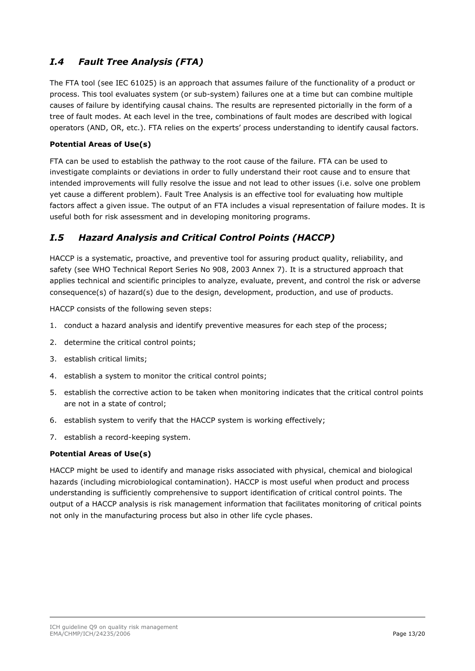### <span id="page-12-0"></span>*I.4 Fault Tree Analysis (FTA)*

The FTA tool (see IEC 61025) is an approach that assumes failure of the functionality of a product or process. This tool evaluates system (or sub-system) failures one at a time but can combine multiple causes of failure by identifying causal chains. The results are represented pictorially in the form of a tree of fault modes. At each level in the tree, combinations of fault modes are described with logical operators (AND, OR, etc.). FTA relies on the experts' process understanding to identify causal factors.

### **Potential Areas of Use(s)**

FTA can be used to establish the pathway to the root cause of the failure. FTA can be used to investigate complaints or deviations in order to fully understand their root cause and to ensure that intended improvements will fully resolve the issue and not lead to other issues (i.e. solve one problem yet cause a different problem). Fault Tree Analysis is an effective tool for evaluating how multiple factors affect a given issue. The output of an FTA includes a visual representation of failure modes. It is useful both for risk assessment and in developing monitoring programs.

### <span id="page-12-1"></span>*I.5 Hazard Analysis and Critical Control Points (HACCP)*

HACCP is a systematic, proactive, and preventive tool for assuring product quality, reliability, and safety (see WHO Technical Report Series No 908, 2003 Annex 7). It is a structured approach that applies technical and scientific principles to analyze, evaluate, prevent, and control the risk or adverse consequence(s) of hazard(s) due to the design, development, production, and use of products.

HACCP consists of the following seven steps:

- 1. conduct a hazard analysis and identify preventive measures for each step of the process;
- 2. determine the critical control points;
- 3. establish critical limits;
- 4. establish a system to monitor the critical control points;
- 5. establish the corrective action to be taken when monitoring indicates that the critical control points are not in a state of control;
- 6. establish system to verify that the HACCP system is working effectively;
- 7. establish a record-keeping system.

### **Potential Areas of Use(s)**

HACCP might be used to identify and manage risks associated with physical, chemical and biological hazards (including microbiological contamination). HACCP is most useful when product and process understanding is sufficiently comprehensive to support identification of critical control points. The output of a HACCP analysis is risk management information that facilitates monitoring of critical points not only in the manufacturing process but also in other life cycle phases.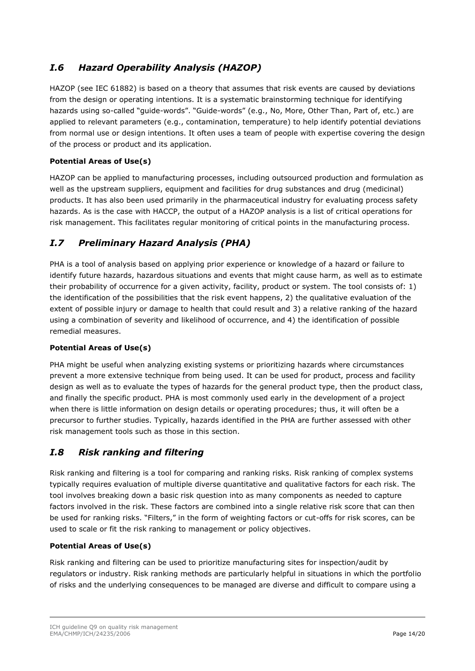### <span id="page-13-0"></span>*I.6 Hazard Operability Analysis (HAZOP)*

HAZOP (see IEC 61882) is based on a theory that assumes that risk events are caused by deviations from the design or operating intentions. It is a systematic brainstorming technique for identifying hazards using so-called "guide-words". "Guide-words" (e.g., No, More, Other Than, Part of, etc.) are applied to relevant parameters (e.g., contamination, temperature) to help identify potential deviations from normal use or design intentions. It often uses a team of people with expertise covering the design of the process or product and its application.

### **Potential Areas of Use(s)**

HAZOP can be applied to manufacturing processes, including outsourced production and formulation as well as the upstream suppliers, equipment and facilities for drug substances and drug (medicinal) products. It has also been used primarily in the pharmaceutical industry for evaluating process safety hazards. As is the case with HACCP, the output of a HAZOP analysis is a list of critical operations for risk management. This facilitates regular monitoring of critical points in the manufacturing process.

### <span id="page-13-1"></span>*I.7 Preliminary Hazard Analysis (PHA)*

PHA is a tool of analysis based on applying prior experience or knowledge of a hazard or failure to identify future hazards, hazardous situations and events that might cause harm, as well as to estimate their probability of occurrence for a given activity, facility, product or system. The tool consists of: 1) the identification of the possibilities that the risk event happens, 2) the qualitative evaluation of the extent of possible injury or damage to health that could result and 3) a relative ranking of the hazard using a combination of severity and likelihood of occurrence, and 4) the identification of possible remedial measures.

### **Potential Areas of Use(s)**

PHA might be useful when analyzing existing systems or prioritizing hazards where circumstances prevent a more extensive technique from being used. It can be used for product, process and facility design as well as to evaluate the types of hazards for the general product type, then the product class, and finally the specific product. PHA is most commonly used early in the development of a project when there is little information on design details or operating procedures; thus, it will often be a precursor to further studies. Typically, hazards identified in the PHA are further assessed with other risk management tools such as those in this section.

### <span id="page-13-2"></span>*I.8 Risk ranking and filtering*

Risk ranking and filtering is a tool for comparing and ranking risks. Risk ranking of complex systems typically requires evaluation of multiple diverse quantitative and qualitative factors for each risk. The tool involves breaking down a basic risk question into as many components as needed to capture factors involved in the risk. These factors are combined into a single relative risk score that can then be used for ranking risks. "Filters," in the form of weighting factors or cut-offs for risk scores, can be used to scale or fit the risk ranking to management or policy objectives.

### **Potential Areas of Use(s)**

Risk ranking and filtering can be used to prioritize manufacturing sites for inspection/audit by regulators or industry. Risk ranking methods are particularly helpful in situations in which the portfolio of risks and the underlying consequences to be managed are diverse and difficult to compare using a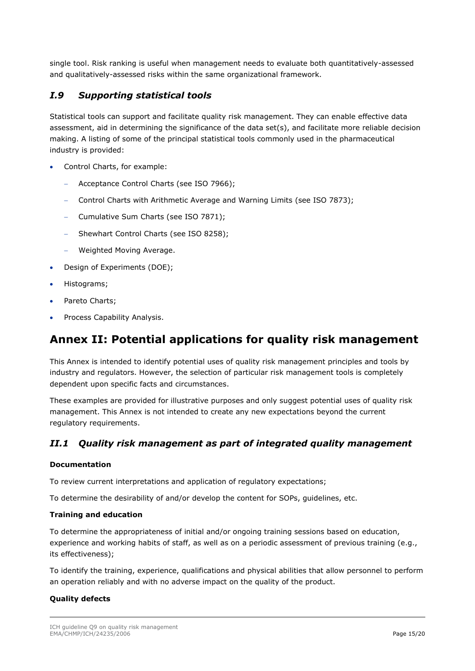single tool. Risk ranking is useful when management needs to evaluate both quantitatively-assessed and qualitatively-assessed risks within the same organizational framework.

### <span id="page-14-0"></span>*I.9 Supporting statistical tools*

Statistical tools can support and facilitate quality risk management. They can enable effective data assessment, aid in determining the significance of the data set(s), and facilitate more reliable decision making. A listing of some of the principal statistical tools commonly used in the pharmaceutical industry is provided:

- Control Charts, for example:
	- Acceptance Control Charts (see ISO 7966);
	- Control Charts with Arithmetic Average and Warning Limits (see ISO 7873);
	- Cumulative Sum Charts (see ISO 7871);
	- Shewhart Control Charts (see ISO 8258);
	- Weighted Moving Average.
- Design of Experiments (DOE);
- Histograms;
- Pareto Charts;
- Process Capability Analysis.

# <span id="page-14-1"></span>**Annex II: Potential applications for quality risk management**

This Annex is intended to identify potential uses of quality risk management principles and tools by industry and regulators. However, the selection of particular risk management tools is completely dependent upon specific facts and circumstances.

These examples are provided for illustrative purposes and only suggest potential uses of quality risk management. This Annex is not intended to create any new expectations beyond the current regulatory requirements.

### <span id="page-14-2"></span>*II.1 Quality risk management as part of integrated quality management*

### **Documentation**

To review current interpretations and application of regulatory expectations;

To determine the desirability of and/or develop the content for SOPs, guidelines, etc.

### **Training and education**

To determine the appropriateness of initial and/or ongoing training sessions based on education, experience and working habits of staff, as well as on a periodic assessment of previous training (e.g., its effectiveness);

To identify the training, experience, qualifications and physical abilities that allow personnel to perform an operation reliably and with no adverse impact on the quality of the product.

### **Quality defects**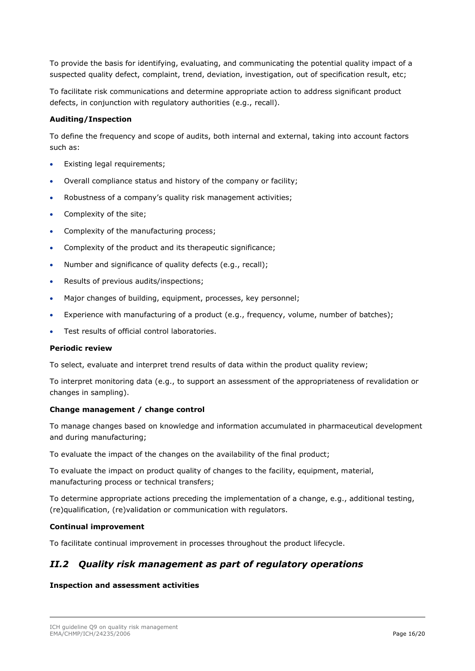To provide the basis for identifying, evaluating, and communicating the potential quality impact of a suspected quality defect, complaint, trend, deviation, investigation, out of specification result, etc;

To facilitate risk communications and determine appropriate action to address significant product defects, in conjunction with regulatory authorities (e.g., recall).

### **Auditing/Inspection**

To define the frequency and scope of audits, both internal and external, taking into account factors such as:

- Existing legal requirements;
- Overall compliance status and history of the company or facility;
- Robustness of a company's quality risk management activities;
- Complexity of the site;
- Complexity of the manufacturing process;
- Complexity of the product and its therapeutic significance;
- Number and significance of quality defects (e.g., recall);
- Results of previous audits/inspections;
- Major changes of building, equipment, processes, key personnel;
- Experience with manufacturing of a product (e.g., frequency, volume, number of batches);
- Test results of official control laboratories.

### **Periodic review**

To select, evaluate and interpret trend results of data within the product quality review;

To interpret monitoring data (e.g., to support an assessment of the appropriateness of revalidation or changes in sampling).

#### **Change management / change control**

To manage changes based on knowledge and information accumulated in pharmaceutical development and during manufacturing;

To evaluate the impact of the changes on the availability of the final product;

To evaluate the impact on product quality of changes to the facility, equipment, material, manufacturing process or technical transfers;

To determine appropriate actions preceding the implementation of a change, e.g., additional testing, (re)qualification, (re)validation or communication with regulators.

#### **Continual improvement**

To facilitate continual improvement in processes throughout the product lifecycle.

### <span id="page-15-0"></span>*II.2 Quality risk management as part of regulatory operations*

#### **Inspection and assessment activities**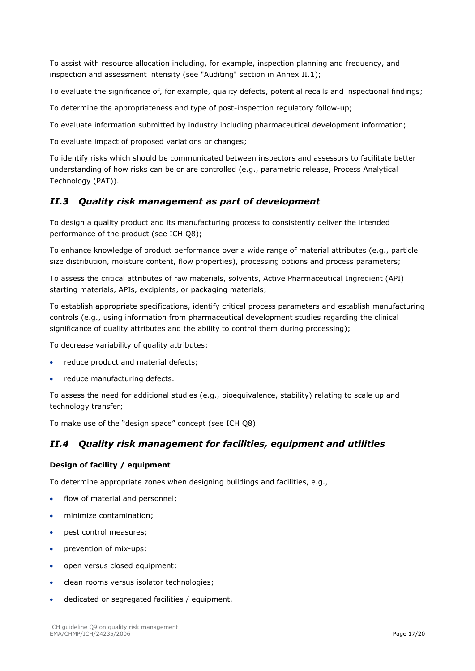To assist with resource allocation including, for example, inspection planning and frequency, and inspection and assessment intensity (see "Auditing" section in Annex II.1);

To evaluate the significance of, for example, quality defects, potential recalls and inspectional findings;

To determine the appropriateness and type of post-inspection regulatory follow-up;

To evaluate information submitted by industry including pharmaceutical development information;

To evaluate impact of proposed variations or changes;

To identify risks which should be communicated between inspectors and assessors to facilitate better understanding of how risks can be or are controlled (e.g., parametric release, Process Analytical Technology (PAT)).

### <span id="page-16-0"></span>*II.3 Quality risk management as part of development*

To design a quality product and its manufacturing process to consistently deliver the intended performance of the product (see ICH Q8);

To enhance knowledge of product performance over a wide range of material attributes (e.g., particle size distribution, moisture content, flow properties), processing options and process parameters;

To assess the critical attributes of raw materials, solvents, Active Pharmaceutical Ingredient (API) starting materials, APIs, excipients, or packaging materials;

To establish appropriate specifications, identify critical process parameters and establish manufacturing controls (e.g., using information from pharmaceutical development studies regarding the clinical significance of quality attributes and the ability to control them during processing);

To decrease variability of quality attributes:

- reduce product and material defects;
- reduce manufacturing defects.

To assess the need for additional studies (e.g., bioequivalence, stability) relating to scale up and technology transfer;

To make use of the "design space" concept (see ICH Q8).

### <span id="page-16-1"></span>*II.4 Quality risk management for facilities, equipment and utilities*

### **Design of facility / equipment**

To determine appropriate zones when designing buildings and facilities, e.g.,

- flow of material and personnel;
- minimize contamination;
- pest control measures;
- prevention of mix-ups;
- open versus closed equipment;
- clean rooms versus isolator technologies;
- dedicated or segregated facilities / equipment.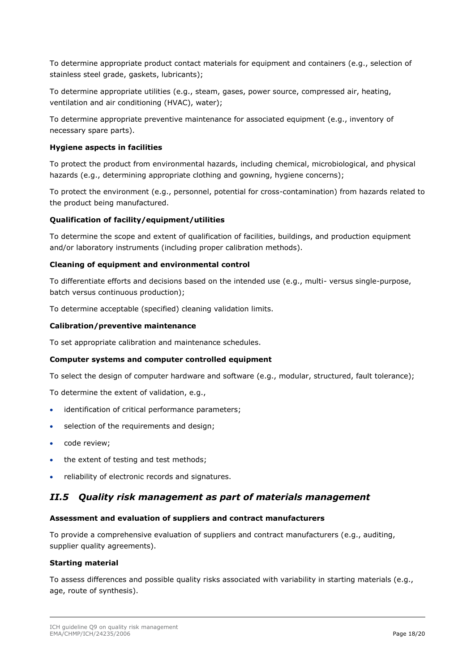To determine appropriate product contact materials for equipment and containers (e.g., selection of stainless steel grade, gaskets, lubricants);

To determine appropriate utilities (e.g., steam, gases, power source, compressed air, heating, ventilation and air conditioning (HVAC), water);

To determine appropriate preventive maintenance for associated equipment (e.g., inventory of necessary spare parts).

### **Hygiene aspects in facilities**

To protect the product from environmental hazards, including chemical, microbiological, and physical hazards (e.g., determining appropriate clothing and gowning, hygiene concerns);

To protect the environment (e.g., personnel, potential for cross-contamination) from hazards related to the product being manufactured.

### **Qualification of facility/equipment/utilities**

To determine the scope and extent of qualification of facilities, buildings, and production equipment and/or laboratory instruments (including proper calibration methods).

### **Cleaning of equipment and environmental control**

To differentiate efforts and decisions based on the intended use (e.g., multi- versus single-purpose, batch versus continuous production);

To determine acceptable (specified) cleaning validation limits.

#### **Calibration/preventive maintenance**

To set appropriate calibration and maintenance schedules.

#### **Computer systems and computer controlled equipment**

To select the design of computer hardware and software (e.g., modular, structured, fault tolerance);

To determine the extent of validation, e.g.,

- identification of critical performance parameters;
- selection of the requirements and design;
- code review;
- the extent of testing and test methods;
- reliability of electronic records and signatures.

### <span id="page-17-0"></span>*II.5 Quality risk management as part of materials management*

#### **Assessment and evaluation of suppliers and contract manufacturers**

To provide a comprehensive evaluation of suppliers and contract manufacturers (e.g., auditing, supplier quality agreements).

#### **Starting material**

To assess differences and possible quality risks associated with variability in starting materials (e.g., age, route of synthesis).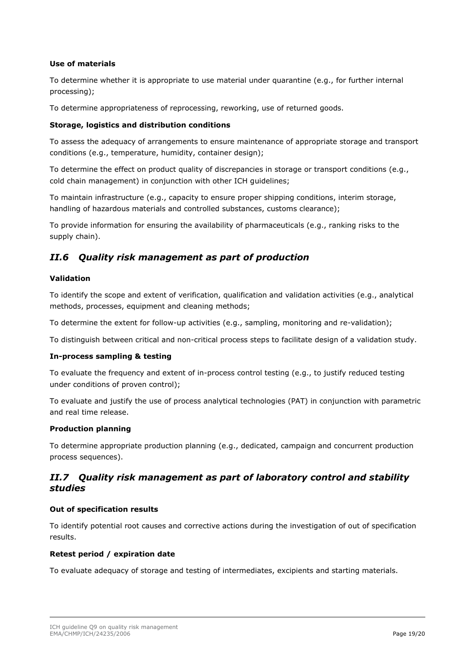### **Use of materials**

To determine whether it is appropriate to use material under quarantine (e.g., for further internal processing);

To determine appropriateness of reprocessing, reworking, use of returned goods.

### **Storage, logistics and distribution conditions**

To assess the adequacy of arrangements to ensure maintenance of appropriate storage and transport conditions (e.g., temperature, humidity, container design);

To determine the effect on product quality of discrepancies in storage or transport conditions (e.g., cold chain management) in conjunction with other ICH guidelines;

To maintain infrastructure (e.g., capacity to ensure proper shipping conditions, interim storage, handling of hazardous materials and controlled substances, customs clearance);

To provide information for ensuring the availability of pharmaceuticals (e.g., ranking risks to the supply chain).

### <span id="page-18-0"></span>*II.6 Quality risk management as part of production*

### **Validation**

To identify the scope and extent of verification, qualification and validation activities (e.g., analytical methods, processes, equipment and cleaning methods;

To determine the extent for follow-up activities (e.g., sampling, monitoring and re-validation);

To distinguish between critical and non-critical process steps to facilitate design of a validation study.

#### **In-process sampling & testing**

To evaluate the frequency and extent of in-process control testing (e.g., to justify reduced testing under conditions of proven control);

To evaluate and justify the use of process analytical technologies (PAT) in conjunction with parametric and real time release.

#### **Production planning**

To determine appropriate production planning (e.g., dedicated, campaign and concurrent production process sequences).

### <span id="page-18-1"></span>*II.7 Quality risk management as part of laboratory control and stability studies*

#### **Out of specification results**

To identify potential root causes and corrective actions during the investigation of out of specification results.

#### **Retest period / expiration date**

To evaluate adequacy of storage and testing of intermediates, excipients and starting materials.